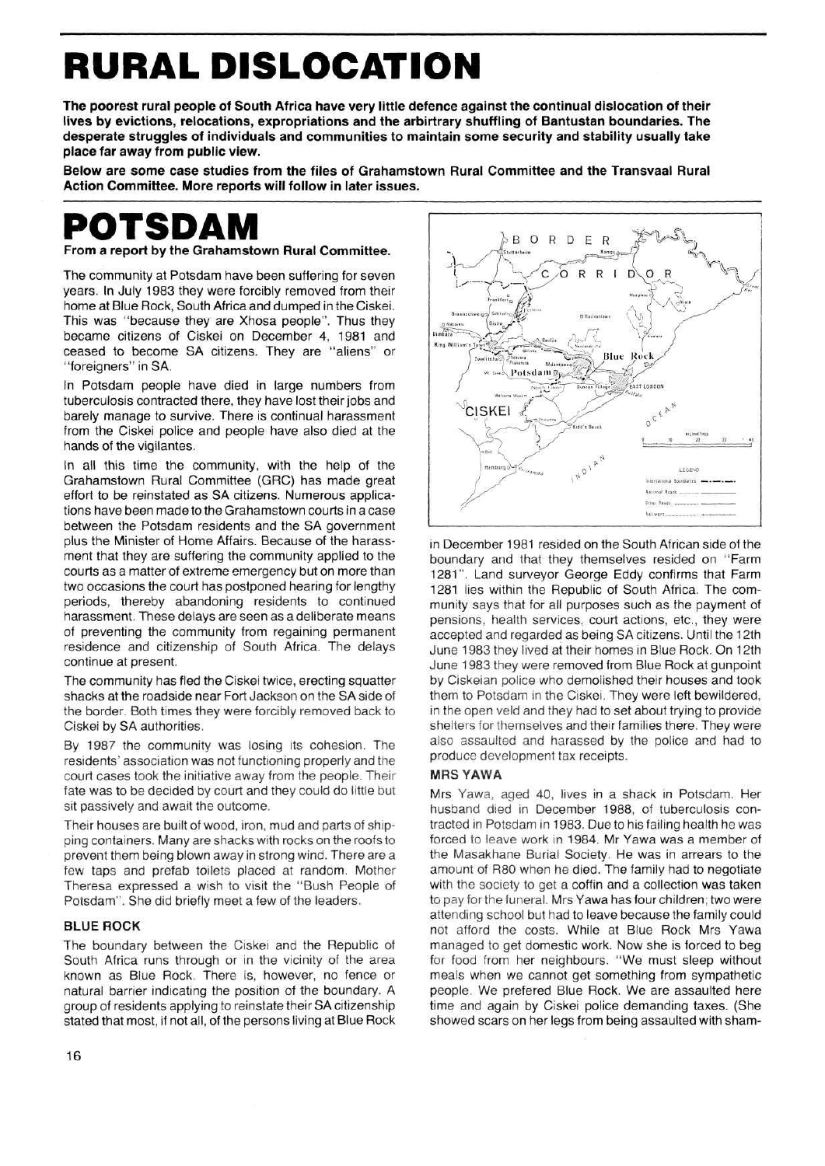# **RURAL DISLOCATION**

**The poorest rural people of South Africa have very little defence against the continual dislocation of their lives by evictions, relocations, expropriations and the arbirtrary shuffling of Bantustan boundaries. The desperate struggles of individuals and communities to maintain some security and stability usually take place far away from public view.** 

**Below are some case studies from the files of Grahamstown Rural Committee and the Transvaal Rural Action Committee. More reports will follow in later issues.** 

## **POTSDAM**

**From a report by the Grahamstown Rural Committee.** 

The community at Potsdam have been suffering for seven years. In July 1983 they were forcibly removed from their home at Blue Rock, South Africa and dumped in the Ciskei. This was "because they are Xhosa people". Thus they became citizens of Ciskei on December 4, 1981 and ceased to become SA citizens. They are "aliens" or "foreigners" in SA.

In Potsdam people have died in large numbers from tuberculosis contracted there, they have lost their jobs and barely manage to survive. There is continual harassment from the Ciskei police and people have also died at the hands of the vigilantes.

In all this time the community, with the help of the Grahamstown Rural Committee (GRC) has made great effort to be reinstated as SA citizens. Numerous applications have been made to the Grahamstown courts in a case between the Potsdam residents and the SA government plus the Minister of Home Affairs. Because of the harassment that they are suffering the community applied to the courts as a matter of extreme emergency but on more than two occasions the court has postponed hearing for lengthy periods, thereby abandoning residents to continued harassment. These delays are seen as a deliberate means of preventing the community from regaining permanent residence and citizenship of South Africa. The delays continue at present.

The community has fled the Ciskei twice, erecting squatter shacks at the roadside near Fort Jackson on the SA side of the border. Both times they were forcibly removed back to Ciskei by SA authorities.

By 1987 the community was losing its cohesion. The residents' association was not functioning properly and the court cases took the initiative away from the people. Their fate was to be decided by court and they could do little but sit passively and await the outcome.

Their houses are built of wood, iron, mud and parts of shipping containers. Many are shacks with rocks on the roofs to prevent them being blown away in strong wind. There are a few taps and prefab toilets placed at random. Mother Theresa expressed a wish to visit the "Bush People of Potsdam". She did briefly meet a few of the leaders.

#### **BLUE ROCK**

The boundary between the Ciskei and the Republic of South Africa runs through or in the vicinity of the area known as Blue Rock. There is, however, no fence or natural barrier indicating the position of the boundary. A group of residents applying to reinstate their SA citizenship stated that most, if not all, of the persons living at Blue Rock



in December 1981 resided on the South African side of the boundary and that they themselves resided on "Farm 1281". Land surveyor George Eddy confirms that Farm 1281 lies within the Republic of South Africa. The community says that for all purposes such as the payment of pensions, health services, court actions, etc., they were accepted and regarded as being SA citizens. Until the 12th June 1983 they lived at their homes in Blue Rock. On 12th June 1983 they were removed from Blue Rock at gunpoint by Ciskeian police who demolished their houses and took them to Potsdam in the Ciskei. They were left bewildered, in the open veld and they had to set about trying to provide shelters for themselves and their families there. They were also assaulted and harassed by the police and had to produce development tax receipts.

#### **MRS YAW** A

Mrs Yawa, aged 40, lives in a shack in Potsdam. Her husband died in December 1988, of tuberculosis contracted in Potsdam in 1983. Due to his failing health he was forced to leave work in 1984. Mr Yawa was a member of the Masakhane Burial Society. He was in arrears to the amount of R80 when he died. The family had to negotiate with the society to get a coffin and a collection was taken to pay for the funeral. Mrs Yawa has four children; two were attending school but had to leave because the family could not afford the costs. While at Blue Rock Mrs Yawa managed to get domestic work. Now she is forced to beg for food from her neighbours. "We must sleep without meals when we cannot get something from sympathetic people. We prefered Blue Rock. We are assaulted here time and again by Ciskei police demanding taxes. (She showed scars on her legs from being assaulted with sham